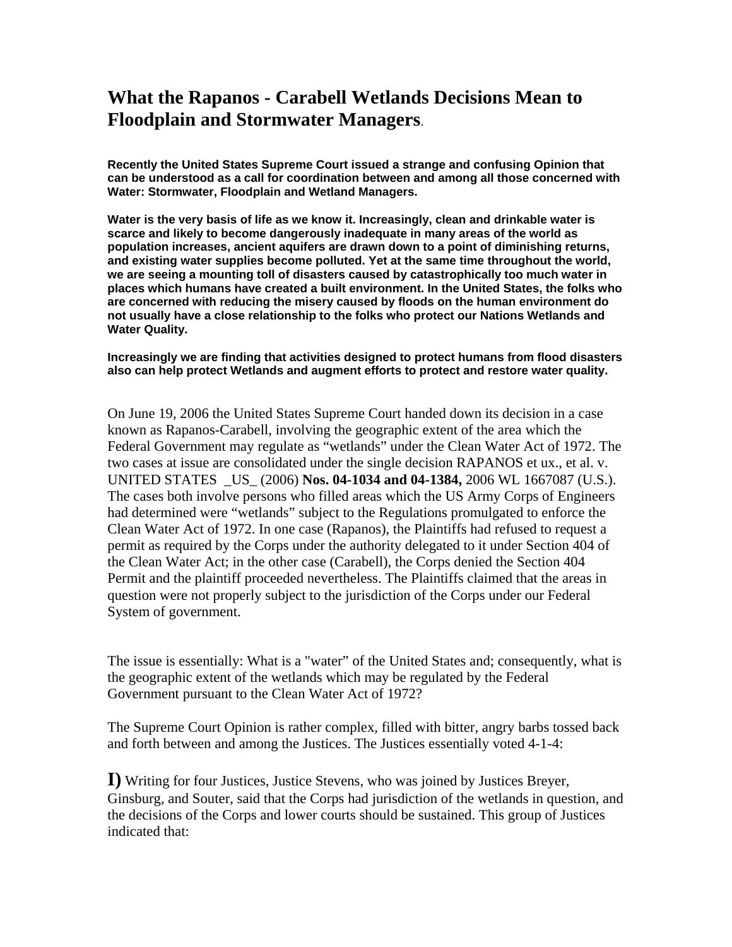## **What the Rapanos - Carabell Wetlands Decisions Mean to Floodplain and Stormwater Managers**.

**Recently the United States Supreme Court issued a strange and confusing Opinion that can be understood as a call for coordination between and among all those concerned with Water: Stormwater, Floodplain and Wetland Managers.** 

**Water is the very basis of life as we know it. Increasingly, clean and drinkable water is scarce and likely to become dangerously inadequate in many areas of the world as population increases, ancient aquifers are drawn down to a point of diminishing returns, and existing water supplies become polluted. Yet at the same time throughout the world, we are seeing a mounting toll of disasters caused by catastrophically too much water in places which humans have created a built environment. In the United States, the folks who are concerned with reducing the misery caused by floods on the human environment do not usually have a close relationship to the folks who protect our Nations Wetlands and Water Quality.** 

## **Increasingly we are finding that activities designed to protect humans from flood disasters also can help protect Wetlands and augment efforts to protect and restore water quality.**

On June 19, 2006 the United States Supreme Court handed down its decision in a case known as Rapanos-Carabell, involving the geographic extent of the area which the Federal Government may regulate as "wetlands" under the Clean Water Act of 1972. The two cases at issue are consolidated under the single decision RAPANOS et ux., et al. v. UNITED STATES \_US\_ (2006) **Nos. 04-1034 and 04-1384,** 2006 WL 1667087 (U.S.). The cases both involve persons who filled areas which the US Army Corps of Engineers had determined were "wetlands" subject to the Regulations promulgated to enforce the Clean Water Act of 1972. In one case (Rapanos), the Plaintiffs had refused to request a permit as required by the Corps under the authority delegated to it under Section 404 of the Clean Water Act; in the other case (Carabell), the Corps denied the Section 404 Permit and the plaintiff proceeded nevertheless. The Plaintiffs claimed that the areas in question were not properly subject to the jurisdiction of the Corps under our Federal System of government.

The issue is essentially: What is a "water" of the United States and; consequently, what is the geographic extent of the wetlands which may be regulated by the Federal Government pursuant to the Clean Water Act of 1972?

The Supreme Court Opinion is rather complex, filled with bitter, angry barbs tossed back and forth between and among the Justices. The Justices essentially voted 4-1-4:

**I)** Writing for four Justices, Justice Stevens, who was joined by Justices Breyer, Ginsburg, and Souter, said that the Corps had jurisdiction of the wetlands in question, and the decisions of the Corps and lower courts should be sustained. This group of Justices indicated that: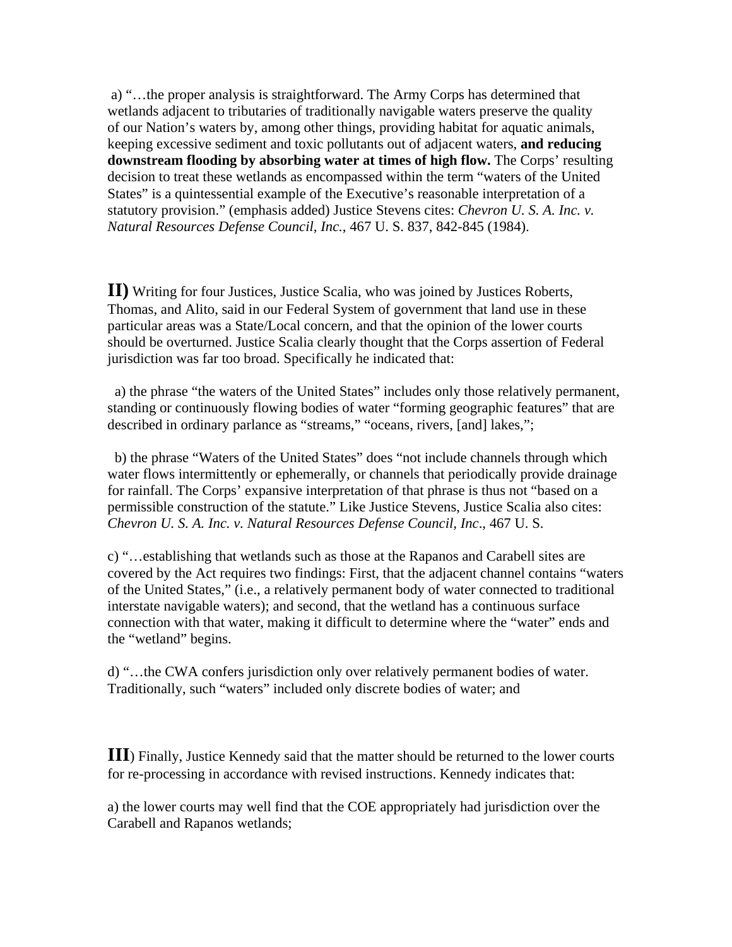a) "…the proper analysis is straightforward. The Army Corps has determined that wetlands adjacent to tributaries of traditionally navigable waters preserve the quality of our Nation's waters by, among other things, providing habitat for aquatic animals, keeping excessive sediment and toxic pollutants out of adjacent waters, **and reducing downstream flooding by absorbing water at times of high flow.** The Corps' resulting decision to treat these wetlands as encompassed within the term "waters of the United States" is a quintessential example of the Executive's reasonable interpretation of a statutory provision." (emphasis added) Justice Stevens cites: *Chevron U. S. A. Inc. v. Natural Resources Defense Council, Inc.*, 467 U. S. 837, 842-845 (1984).

**II)** Writing for four Justices, Justice Scalia, who was joined by Justices Roberts, Thomas, and Alito, said in our Federal System of government that land use in these particular areas was a State/Local concern, and that the opinion of the lower courts should be overturned. Justice Scalia clearly thought that the Corps assertion of Federal jurisdiction was far too broad. Specifically he indicated that:

 a) the phrase "the waters of the United States" includes only those relatively permanent, standing or continuously flowing bodies of water "forming geographic features" that are described in ordinary parlance as "streams," "oceans, rivers, [and] lakes,";

 b) the phrase "Waters of the United States" does "not include channels through which water flows intermittently or ephemerally, or channels that periodically provide drainage for rainfall. The Corps' expansive interpretation of that phrase is thus not "based on a permissible construction of the statute." Like Justice Stevens, Justice Scalia also cites: *Chevron U. S. A. Inc. v. Natural Resources Defense Council, Inc*., 467 U. S.

c) "…establishing that wetlands such as those at the Rapanos and Carabell sites are covered by the Act requires two findings: First, that the adjacent channel contains "waters of the United States," (i.e., a relatively permanent body of water connected to traditional interstate navigable waters); and second, that the wetland has a continuous surface connection with that water, making it difficult to determine where the "water" ends and the "wetland" begins.

d) "…the CWA confers jurisdiction only over relatively permanent bodies of water. Traditionally, such "waters" included only discrete bodies of water; and

**III**) Finally, Justice Kennedy said that the matter should be returned to the lower courts for re-processing in accordance with revised instructions. Kennedy indicates that:

a) the lower courts may well find that the COE appropriately had jurisdiction over the Carabell and Rapanos wetlands;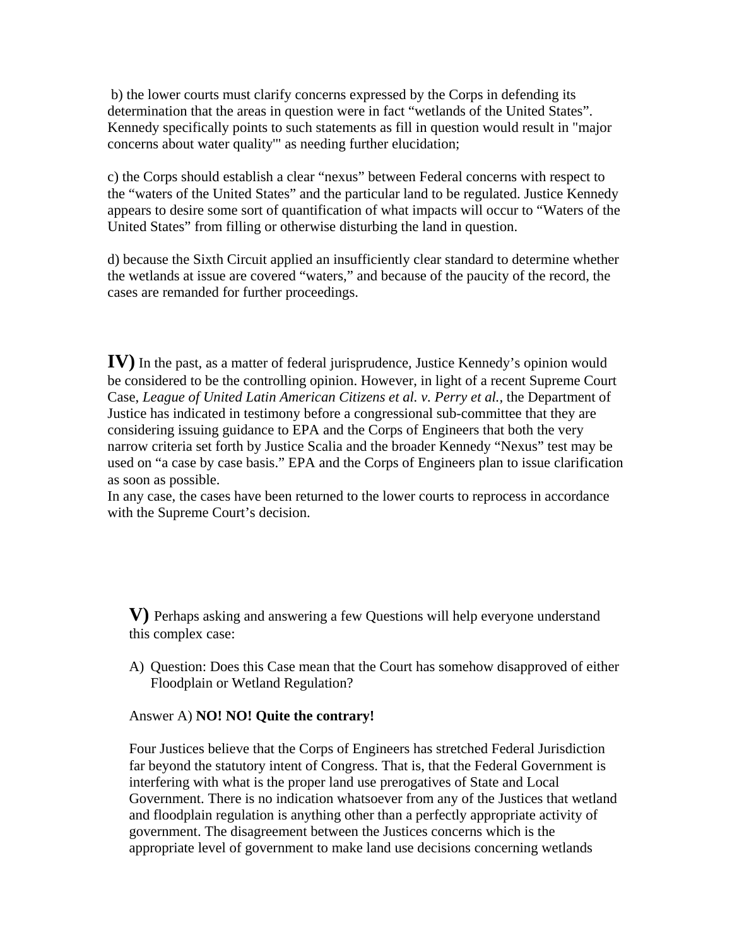b) the lower courts must clarify concerns expressed by the Corps in defending its determination that the areas in question were in fact "wetlands of the United States". Kennedy specifically points to such statements as fill in question would result in "major concerns about water quality'" as needing further elucidation;

c) the Corps should establish a clear "nexus" between Federal concerns with respect to the "waters of the United States" and the particular land to be regulated. Justice Kennedy appears to desire some sort of quantification of what impacts will occur to "Waters of the United States" from filling or otherwise disturbing the land in question.

d) because the Sixth Circuit applied an insufficiently clear standard to determine whether the wetlands at issue are covered "waters," and because of the paucity of the record, the cases are remanded for further proceedings.

**IV)** In the past, as a matter of federal jurisprudence, Justice Kennedy's opinion would be considered to be the controlling opinion. However, in light of a recent Supreme Court Case, *League of United Latin American Citizens et al. v. Perry et al.,* the Department of Justice has indicated in testimony before a congressional sub-committee that they are considering issuing guidance to EPA and the Corps of Engineers that both the very narrow criteria set forth by Justice Scalia and the broader Kennedy "Nexus" test may be used on "a case by case basis." EPA and the Corps of Engineers plan to issue clarification as soon as possible.

In any case, the cases have been returned to the lower courts to reprocess in accordance with the Supreme Court's decision.

**V)** Perhaps asking and answering a few Questions will help everyone understand this complex case:

A) Question: Does this Case mean that the Court has somehow disapproved of either Floodplain or Wetland Regulation?

## Answer A) **NO! NO! Quite the contrary!**

Four Justices believe that the Corps of Engineers has stretched Federal Jurisdiction far beyond the statutory intent of Congress. That is, that the Federal Government is interfering with what is the proper land use prerogatives of State and Local Government. There is no indication whatsoever from any of the Justices that wetland and floodplain regulation is anything other than a perfectly appropriate activity of government. The disagreement between the Justices concerns which is the appropriate level of government to make land use decisions concerning wetlands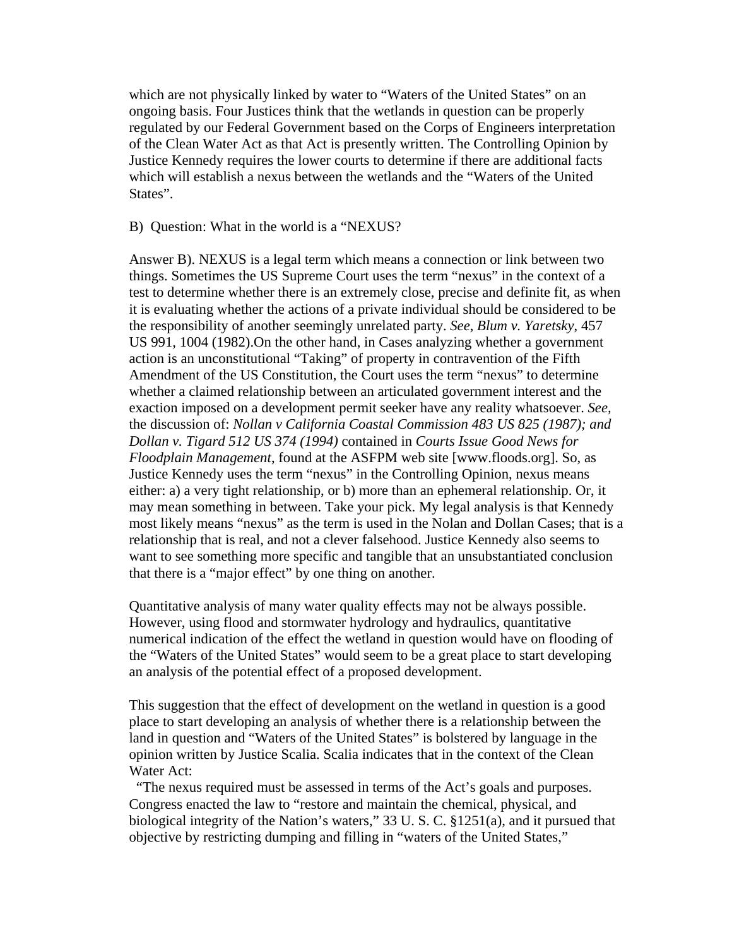which are not physically linked by water to "Waters of the United States" on an ongoing basis. Four Justices think that the wetlands in question can be properly regulated by our Federal Government based on the Corps of Engineers interpretation of the Clean Water Act as that Act is presently written. The Controlling Opinion by Justice Kennedy requires the lower courts to determine if there are additional facts which will establish a nexus between the wetlands and the "Waters of the United States".

B) Question: What in the world is a "NEXUS?

Answer B). NEXUS is a legal term which means a connection or link between two things. Sometimes the US Supreme Court uses the term "nexus" in the context of a test to determine whether there is an extremely close, precise and definite fit, as when it is evaluating whether the actions of a private individual should be considered to be the responsibility of another seemingly unrelated party. *See*, *Blum v. Yaretsky*, 457 US 991, 1004 (1982).On the other hand, in Cases analyzing whether a government action is an unconstitutional "Taking" of property in contravention of the Fifth Amendment of the US Constitution, the Court uses the term "nexus" to determine whether a claimed relationship between an articulated government interest and the exaction imposed on a development permit seeker have any reality whatsoever. *See,* the discussion of: *Nollan v California Coastal Commission 483 US 825 (1987); and Dollan v. Tigard 512 US 374 (1994)* contained in *Courts Issue Good News for Floodplain Management*, found at the ASFPM web site [www.floods.org]. So, as Justice Kennedy uses the term "nexus" in the Controlling Opinion, nexus means either: a) a very tight relationship, or b) more than an ephemeral relationship. Or, it may mean something in between. Take your pick. My legal analysis is that Kennedy most likely means "nexus" as the term is used in the Nolan and Dollan Cases; that is a relationship that is real, and not a clever falsehood. Justice Kennedy also seems to want to see something more specific and tangible that an unsubstantiated conclusion that there is a "major effect" by one thing on another.

Quantitative analysis of many water quality effects may not be always possible. However, using flood and stormwater hydrology and hydraulics, quantitative numerical indication of the effect the wetland in question would have on flooding of the "Waters of the United States" would seem to be a great place to start developing an analysis of the potential effect of a proposed development.

This suggestion that the effect of development on the wetland in question is a good place to start developing an analysis of whether there is a relationship between the land in question and "Waters of the United States" is bolstered by language in the opinion written by Justice Scalia. Scalia indicates that in the context of the Clean Water Act:

 "The nexus required must be assessed in terms of the Act's goals and purposes. Congress enacted the law to "restore and maintain the chemical, physical, and biological integrity of the Nation's waters," 33 U. S. C. §1251(a), and it pursued that objective by restricting dumping and filling in "waters of the United States,"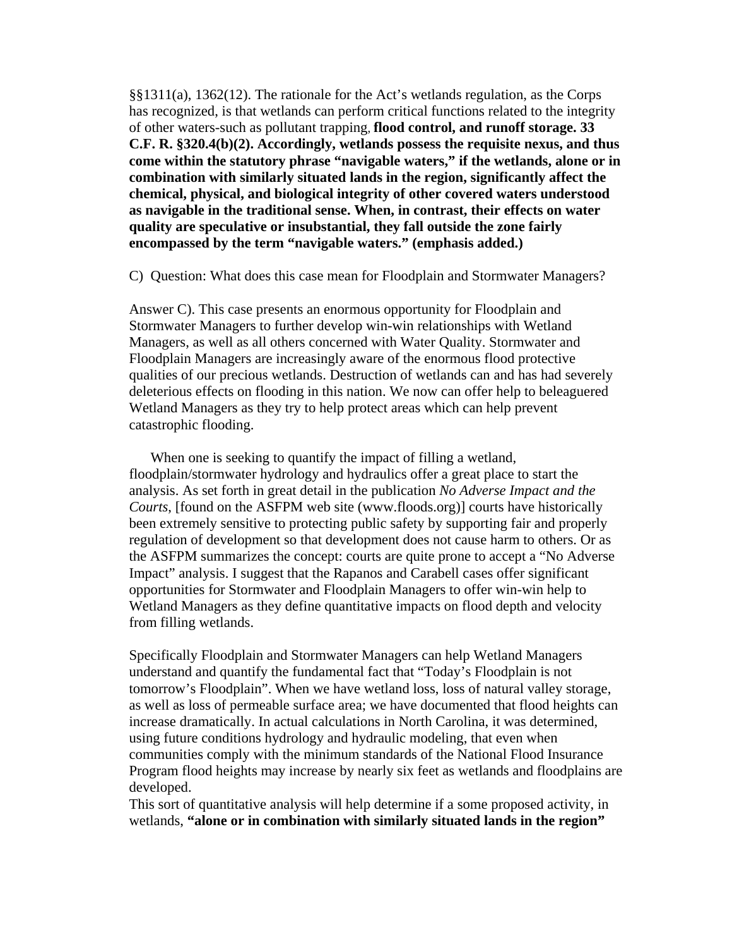§§1311(a), 1362(12). The rationale for the Act's wetlands regulation, as the Corps has recognized, is that wetlands can perform critical functions related to the integrity of other waters-such as pollutant trapping, **flood control, and runoff storage. 33 C.F. R. §320.4(b)(2). Accordingly, wetlands possess the requisite nexus, and thus come within the statutory phrase "navigable waters," if the wetlands, alone or in combination with similarly situated lands in the region, significantly affect the chemical, physical, and biological integrity of other covered waters understood as navigable in the traditional sense. When, in contrast, their effects on water quality are speculative or insubstantial, they fall outside the zone fairly encompassed by the term "navigable waters." (emphasis added.)**

C) Question: What does this case mean for Floodplain and Stormwater Managers?

Answer C). This case presents an enormous opportunity for Floodplain and Stormwater Managers to further develop win-win relationships with Wetland Managers, as well as all others concerned with Water Quality. Stormwater and Floodplain Managers are increasingly aware of the enormous flood protective qualities of our precious wetlands. Destruction of wetlands can and has had severely deleterious effects on flooding in this nation. We now can offer help to beleaguered Wetland Managers as they try to help protect areas which can help prevent catastrophic flooding.

 When one is seeking to quantify the impact of filling a wetland, floodplain/stormwater hydrology and hydraulics offer a great place to start the analysis. As set forth in great detail in the publication *No Adverse Impact and the Courts*, [found on the ASFPM web site (www.floods.org)] courts have historically been extremely sensitive to protecting public safety by supporting fair and properly regulation of development so that development does not cause harm to others. Or as the ASFPM summarizes the concept: courts are quite prone to accept a "No Adverse Impact" analysis. I suggest that the Rapanos and Carabell cases offer significant opportunities for Stormwater and Floodplain Managers to offer win-win help to Wetland Managers as they define quantitative impacts on flood depth and velocity from filling wetlands.

Specifically Floodplain and Stormwater Managers can help Wetland Managers understand and quantify the fundamental fact that "Today's Floodplain is not tomorrow's Floodplain". When we have wetland loss, loss of natural valley storage, as well as loss of permeable surface area; we have documented that flood heights can increase dramatically. In actual calculations in North Carolina, it was determined, using future conditions hydrology and hydraulic modeling, that even when communities comply with the minimum standards of the National Flood Insurance Program flood heights may increase by nearly six feet as wetlands and floodplains are developed.

This sort of quantitative analysis will help determine if a some proposed activity, in wetlands, **"alone or in combination with similarly situated lands in the region"**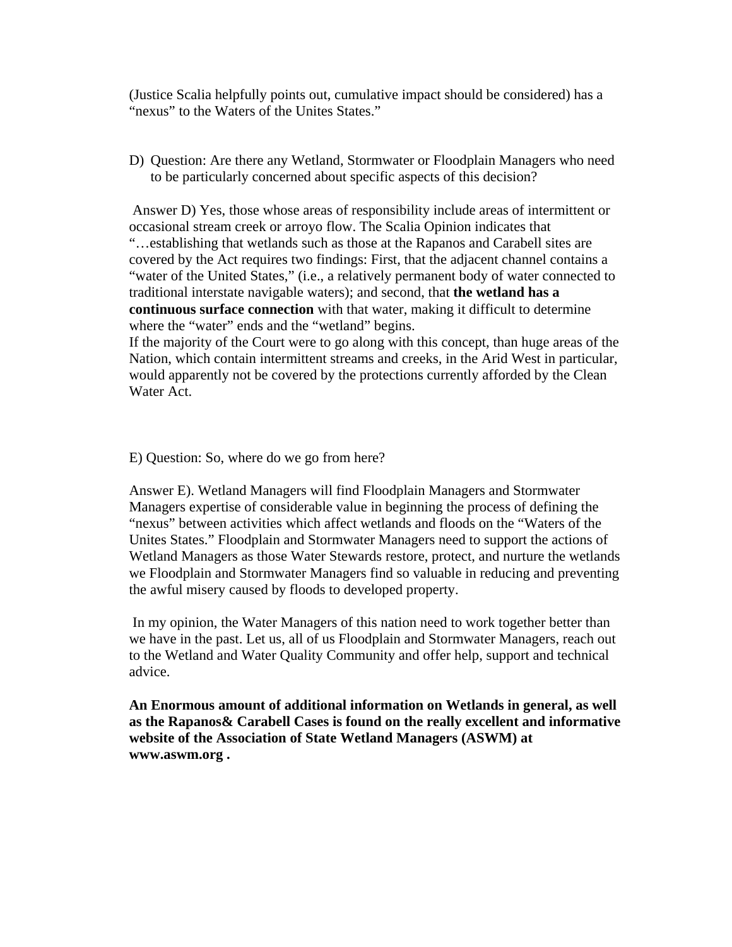(Justice Scalia helpfully points out, cumulative impact should be considered) has a "nexus" to the Waters of the Unites States."

D) Question: Are there any Wetland, Stormwater or Floodplain Managers who need to be particularly concerned about specific aspects of this decision?

 Answer D) Yes, those whose areas of responsibility include areas of intermittent or occasional stream creek or arroyo flow. The Scalia Opinion indicates that "…establishing that wetlands such as those at the Rapanos and Carabell sites are covered by the Act requires two findings: First, that the adjacent channel contains a "water of the United States," (i.e., a relatively permanent body of water connected to traditional interstate navigable waters); and second, that **the wetland has a continuous surface connection** with that water, making it difficult to determine where the "water" ends and the "wetland" begins.

If the majority of the Court were to go along with this concept, than huge areas of the Nation, which contain intermittent streams and creeks, in the Arid West in particular, would apparently not be covered by the protections currently afforded by the Clean Water Act.

## E) Question: So, where do we go from here?

Answer E). Wetland Managers will find Floodplain Managers and Stormwater Managers expertise of considerable value in beginning the process of defining the "nexus" between activities which affect wetlands and floods on the "Waters of the Unites States." Floodplain and Stormwater Managers need to support the actions of Wetland Managers as those Water Stewards restore, protect, and nurture the wetlands we Floodplain and Stormwater Managers find so valuable in reducing and preventing the awful misery caused by floods to developed property.

 In my opinion, the Water Managers of this nation need to work together better than we have in the past. Let us, all of us Floodplain and Stormwater Managers, reach out to the Wetland and Water Quality Community and offer help, support and technical advice.

**An Enormous amount of additional information on Wetlands in general, as well as the Rapanos& Carabell Cases is found on the really excellent and informative website of the Association of State Wetland Managers (ASWM) at www.aswm.org .**